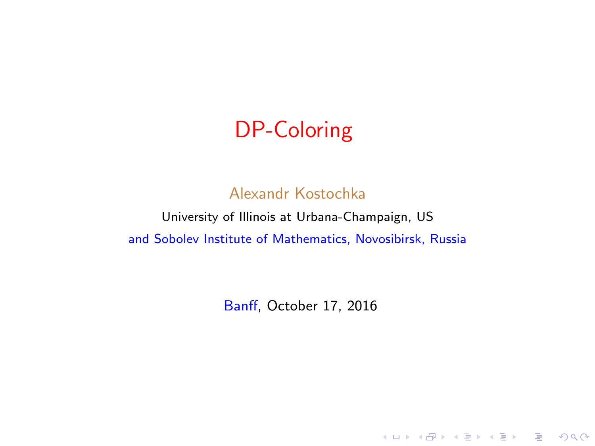## DP-Coloring

#### Alexandr Kostochka

University of Illinois at Urbana-Champaign, US and Sobolev Institute of Mathematics, Novosibirsk, Russia

Banff, October 17, 2016

K ロ ▶ K @ ▶ K 할 ▶ K 할 ▶ | 할 | © 9 Q @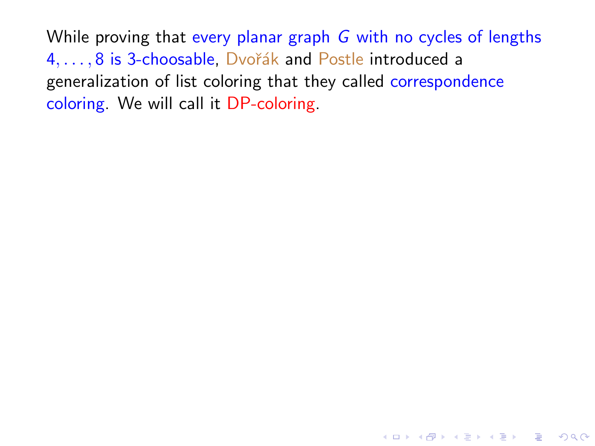While proving that every planar graph G with no cycles of lengths 4, ..., 8 is 3-choosable, Dvořák and Postle introduced a generalization of list coloring that they called correspondence coloring. We will call it DP-coloring.

**KORK STRATER STRAKER**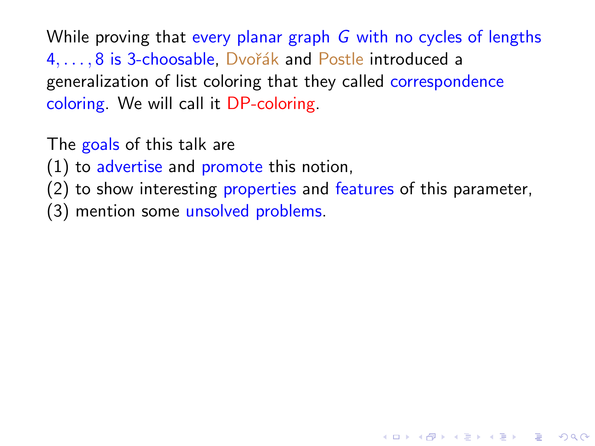While proving that every planar graph G with no cycles of lengths 4, ..., 8 is 3-choosable, Dvořák and Postle introduced a generalization of list coloring that they called correspondence coloring. We will call it DP-coloring.

The goals of this talk are

(1) to advertise and promote this notion,

(2) to show interesting properties and features of this parameter,

**KOD KARD KED KED E VOOR** 

(3) mention some unsolved problems.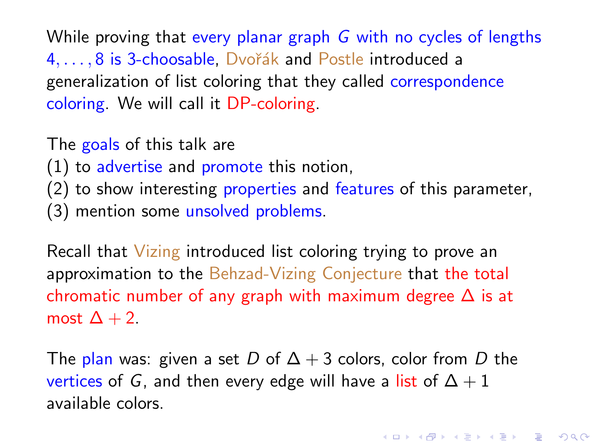While proving that every planar graph G with no cycles of lengths 4, ..., 8 is 3-choosable, Dvořák and Postle introduced a generalization of list coloring that they called correspondence coloring. We will call it DP-coloring.

The goals of this talk are

(1) to advertise and promote this notion,

(2) to show interesting properties and features of this parameter,

(3) mention some unsolved problems.

Recall that Vizing introduced list coloring trying to prove an approximation to the Behzad-Vizing Conjecture that the total chromatic number of any graph with maximum degree  $\Delta$  is at most  $\Delta + 2$ .

The plan was: given a set D of  $\Delta + 3$  colors, color from D the vertices of G, and then every edge will have a list of  $\Delta + 1$ available colors.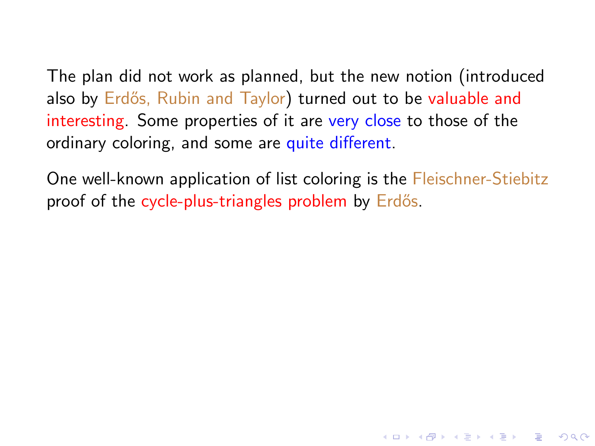The plan did not work as planned, but the new notion (introduced also by Erdős, Rubin and Taylor) turned out to be valuable and interesting. Some properties of it are very close to those of the ordinary coloring, and some are quite different.

One well-known application of list coloring is the Fleischner-Stiebitz proof of the cycle-plus-triangles problem by Erdős.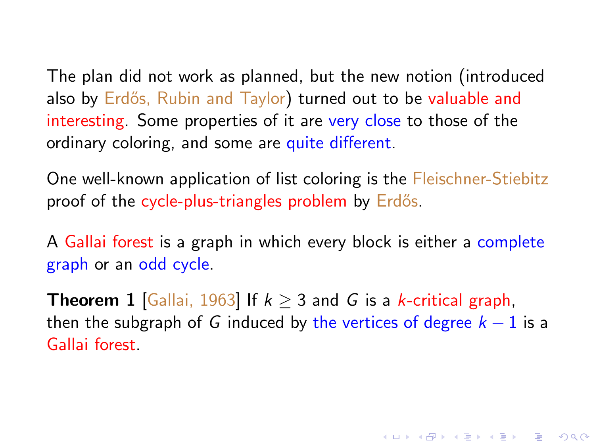The plan did not work as planned, but the new notion (introduced also by Erdős, Rubin and Taylor) turned out to be valuable and interesting. Some properties of it are very close to those of the ordinary coloring, and some are quite different.

One well-known application of list coloring is the Fleischner-Stiebitz proof of the cycle-plus-triangles problem by Erdős.

A Gallai forest is a graph in which every block is either a complete graph or an odd cycle.

**Theorem 1** [Gallai, 1963] If  $k \ge 3$  and G is a k-critical graph, then the subgraph of G induced by the vertices of degree  $k - 1$  is a Gallai forest.

**KORK (FRAGE) EL POLO**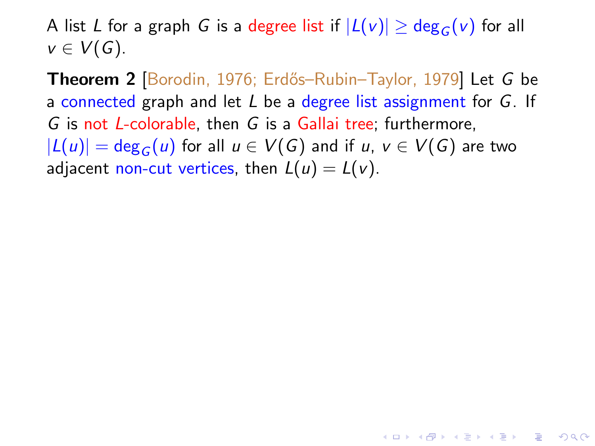A list L for a graph G is a degree list if  $|L(v)| \geq deg_G(v)$  for all  $v \in V(G)$ .

Theorem 2 [Borodin, 1976; Erdős–Rubin–Taylor, 1979] Let G be a connected graph and let  $L$  be a degree list assignment for  $G$ . If G is not L-colorable, then G is a Gallai tree; furthermore,  $|L(u)| = deg_G(u)$  for all  $u \in V(G)$  and if  $u, v \in V(G)$  are two adjacent non-cut vertices, then  $L(u) = L(v)$ .

4 D > 4 P + 4 B + 4 B + B + 9 Q O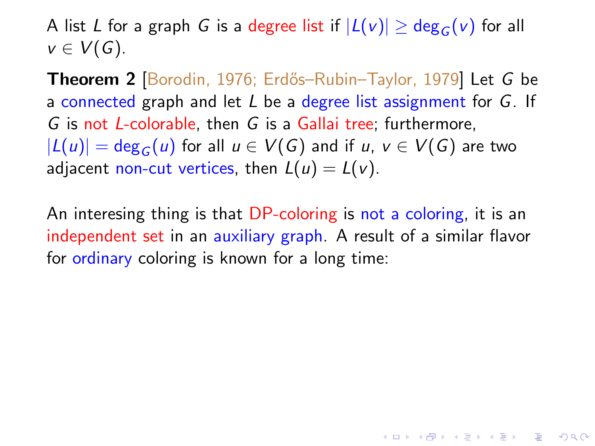A list L for a graph G is a degree list if  $|L(v)| \geq deg_G(v)$  for all  $v \in V(G)$ .

Theorem 2 [Borodin, 1976; Erdős–Rubin–Taylor, 1979] Let G be a connected graph and let  $L$  be a degree list assignment for  $G$ . If G is not L-colorable, then G is a Gallai tree; furthermore,  $|L(u)| = deg_G(u)$  for all  $u \in V(G)$  and if  $u, v \in V(G)$  are two adjacent non-cut vertices, then  $L(u) = L(v)$ .

An interesing thing is that DP-coloring is not a coloring, it is an independent set in an auxiliary graph. A result of a similar flavor for ordinary coloring is known for a long time: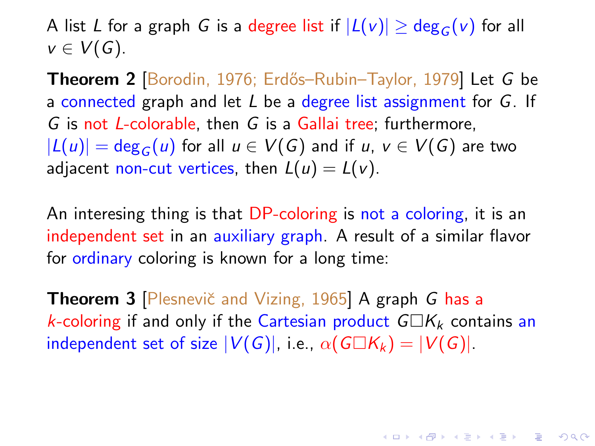A list L for a graph G is a degree list if  $|L(v)| \geq deg_G(v)$  for all  $v \in V(G)$ .

Theorem 2 [Borodin, 1976; Erdős–Rubin–Taylor, 1979] Let G be a connected graph and let  $L$  be a degree list assignment for  $G$ . If G is not L-colorable, then G is a Gallai tree; furthermore,  $|L(u)| = deg_G(u)$  for all  $u \in V(G)$  and if  $u, v \in V(G)$  are two adjacent non-cut vertices, then  $L(u) = L(v)$ .

An interesing thing is that DP-coloring is not a coloring, it is an independent set in an auxiliary graph. A result of a similar flavor for ordinary coloring is known for a long time:

Theorem 3 [Plesnevič and Vizing, 1965] A graph G has a k-coloring if and only if the Cartesian product  $G\Box K_k$  contains an independent set of size  $|V(G)|$ , i.e.,  $\alpha(G\Box K_k) = |V(G)|$ .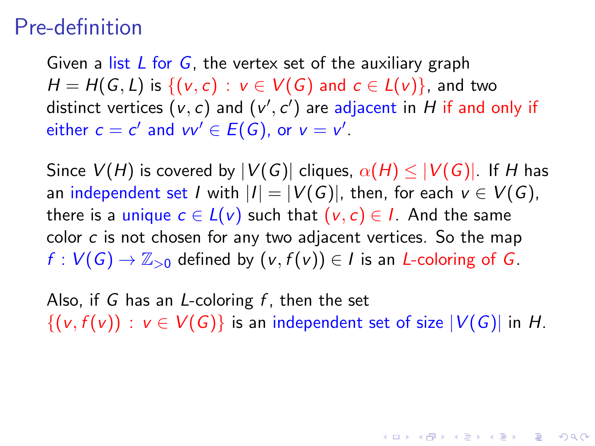#### Pre-definition

Given a list  $L$  for  $G$ , the vertex set of the auxiliary graph  $H = H(G, L)$  is  $\{(v, c) : v \in V(G) \text{ and } c \in L(v)\}\)$ , and two distinct vertices  $(v, c)$  and  $(v', c')$  are adjacent in  $H$  if and only if either  $c = c'$  and  $vv' \in E(G)$ , or  $v = v'$ .

Since  $V(H)$  is covered by  $|V(G)|$  cliques,  $\alpha(H) \leq |V(G)|$ . If H has an independent set I with  $|I| = |V(G)|$ , then, for each  $v \in V(G)$ , there is a unique  $c \in L(v)$  such that  $(v, c) \in I$ . And the same color c is not chosen for any two adjacent vertices. So the map  $f: V(G) \to \mathbb{Z}_{>0}$  defined by  $(v, f(v)) \in I$  is an *L*-coloring of *G*.

Also, if G has an  $L$ -coloring  $f$ , then the set  $\{(v, f(v)) : v \in V(G)\}\$ is an independent set of size  $|V(G)|$  in H.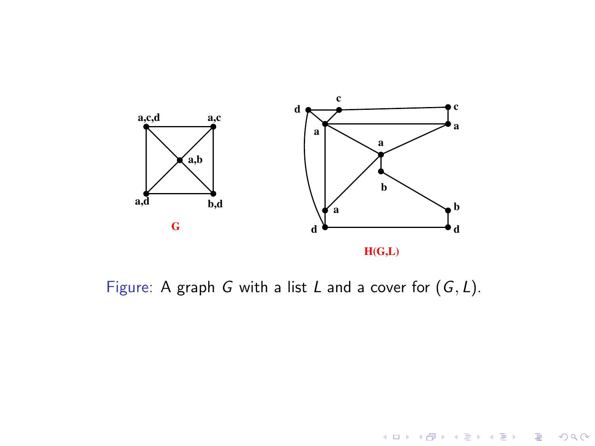

Figure: A graph G with a list L and a cover for  $(G, L)$ .

K ロ X イロ X K ミ X K ミ X ミ → S V C Y C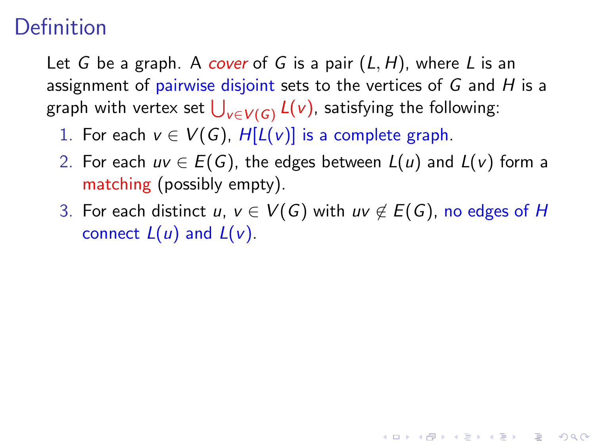## Definition

Let G be a graph. A cover of G is a pair  $(L, H)$ , where L is an assignment of pairwise disjoint sets to the vertices of  $G$  and  $H$  is a graph with vertex set  $\bigcup_{v\in V(\mathsf{G})} L(v)$ , satisfying the following:

- 1. For each  $v \in V(G)$ ,  $H[L(v)]$  is a complete graph.
- 2. For each  $uv \in E(G)$ , the edges between  $L(u)$  and  $L(v)$  form a matching (possibly empty).
- 3. For each distinct u,  $v \in V(G)$  with uv  $\notin E(G)$ , no edges of H connect  $L(u)$  and  $L(v)$ .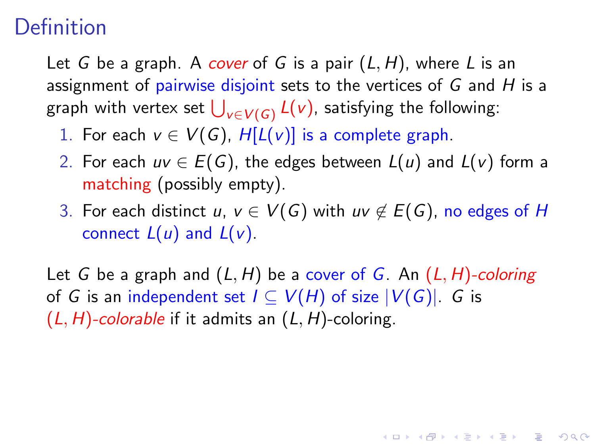## **Definition**

Let G be a graph. A cover of G is a pair  $(L, H)$ , where L is an assignment of pairwise disjoint sets to the vertices of  $G$  and  $H$  is a graph with vertex set  $\bigcup_{v\in V(\mathsf{G})} L(v)$ , satisfying the following:

- 1. For each  $v \in V(G)$ ,  $H[L(v)]$  is a complete graph.
- 2. For each  $uv \in E(G)$ , the edges between  $L(u)$  and  $L(v)$  form a matching (possibly empty).
- 3. For each distinct u,  $v \in V(G)$  with uv  $\notin E(G)$ , no edges of H connect  $L(u)$  and  $L(v)$ .

Let G be a graph and  $(L, H)$  be a cover of G. An  $(L, H)$ -coloring of G is an independent set  $I \subseteq V(H)$  of size  $|V(G)|$ . G is  $(L, H)$ -colorable if it admits an  $(L, H)$ -coloring.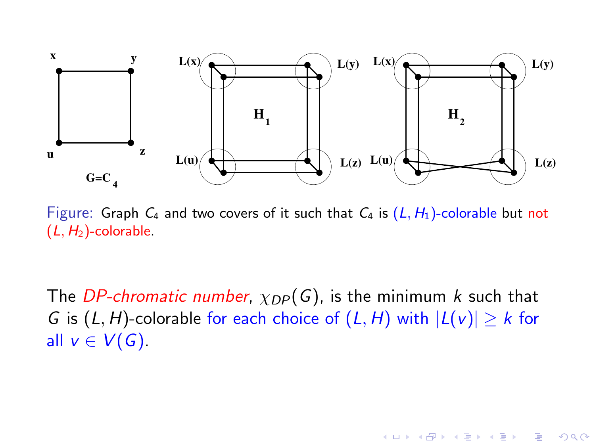

Figure: Graph  $C_4$  and two covers of it such that  $C_4$  is  $(L, H_1)$ -colorable but not  $(L, H<sub>2</sub>)$ -colorable.

The DP-chromatic number,  $\chi_{DP}(G)$ , is the minimum k such that G is  $(L, H)$ -colorable for each choice of  $(L, H)$  with  $|L(v)| \geq k$  for all  $v \in V(G)$ .

 $\mathbf{E} = \mathbf{A} \oplus \mathbf{A} + \mathbf{A} \oplus \mathbf{A} + \mathbf{A} \oplus \mathbf{A} + \mathbf{A} \oplus \mathbf{A} + \mathbf{A} \oplus \mathbf{A} + \mathbf{A} \oplus \mathbf{A} + \mathbf{A} \oplus \mathbf{A} + \mathbf{A} \oplus \mathbf{A} + \mathbf{A} \oplus \mathbf{A} + \mathbf{A} \oplus \mathbf{A} + \mathbf{A} \oplus \mathbf{A} + \mathbf{A} \oplus \mathbf{A} + \mathbf{A} \oplus \mathbf{A} + \mathbf{A$ 

 $2990$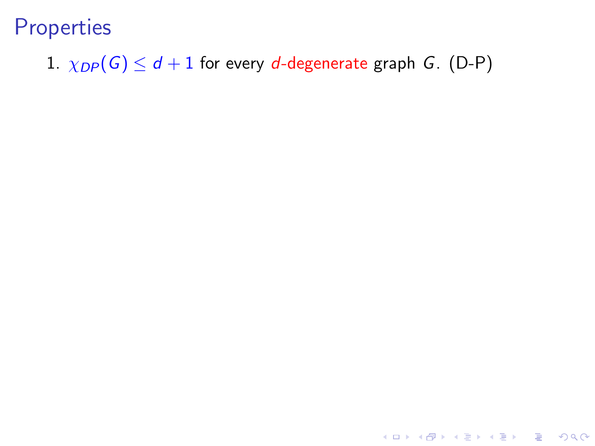1.  $\chi_{DP}(G) \leq d+1$  for every *d*-degenerate graph *G*. (D-P)

K ロ ▶ K @ ▶ K 할 X X 할 X | 할 X 1 9 Q Q ^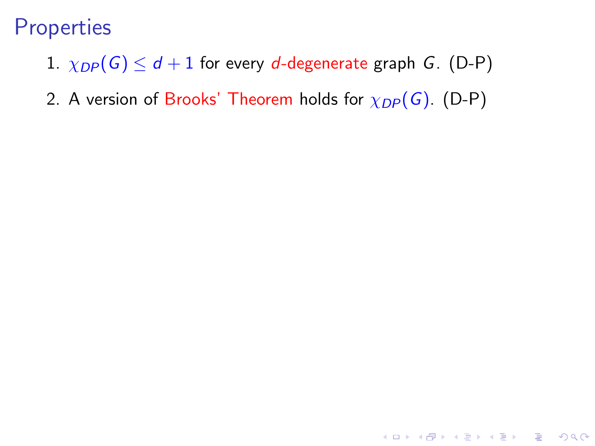- 1.  $\chi_{DP}(G) \leq d+1$  for every d-degenerate graph G. (D-P)
- 2. A version of Brooks' Theorem holds for  $\chi_{DP}(G)$ . (D-P)

K ロ ▶ K @ ▶ K 할 > K 할 > 1 할 > 1 이익어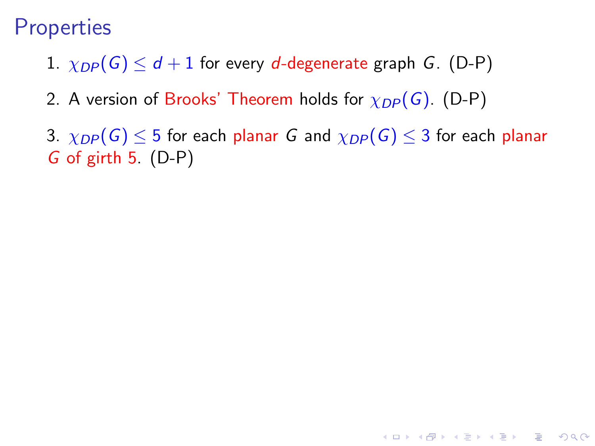- 1.  $\chi_{DP}(G) \leq d+1$  for every d-degenerate graph G. (D-P)
- 2. A version of Brooks' Theorem holds for  $\chi_{DP}(G)$ . (D-P)
- 3.  $\chi_{DP}(G) \leq 5$  for each planar G and  $\chi_{DP}(G) \leq 3$  for each planar G of girth 5. (D-P)

**KOD KARD KED KED E VOOR**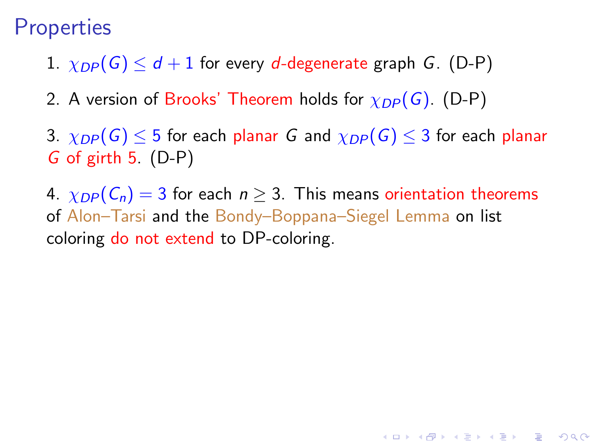- 1.  $\chi_{DP}(G) \leq d+1$  for every d-degenerate graph G. (D-P)
- 2. A version of Brooks' Theorem holds for  $\chi_{DP}(G)$ . (D-P)
- 3.  $\chi_{DP}(G) \leq 5$  for each planar G and  $\chi_{DP}(G) \leq 3$  for each planar G of girth 5. (D-P)
- 4.  $\chi_{DP}(\mathcal{C}_n) = 3$  for each  $n \geq 3$ . This means orientation theorems of Alon–Tarsi and the Bondy–Boppana–Siegel Lemma on list coloring do not extend to DP-coloring.

**KORK ERKER ADE YOUR**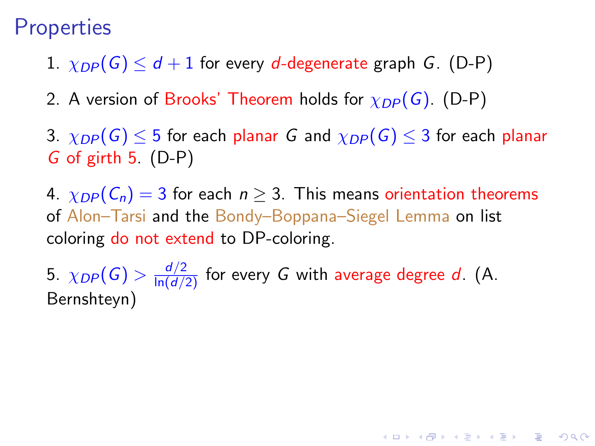- 1.  $\chi_{DP}(G) \leq d+1$  for every d-degenerate graph G. (D-P)
- 2. A version of Brooks' Theorem holds for  $\chi_{DP}(G)$ . (D-P)
- 3.  $\chi_{DP}(G) \leq 5$  for each planar G and  $\chi_{DP}(G) \leq 3$  for each planar G of girth 5. (D-P)
- 4.  $\chi_{DP}(\mathcal{C}_n) = 3$  for each  $n \geq 3$ . This means orientation theorems of Alon–Tarsi and the Bondy–Boppana–Siegel Lemma on list coloring do not extend to DP-coloring.

5.  $\chi_{DP}(G) > \frac{d/2}{\ln(d/2)}$  for every  $G$  with average degree  $d$ . (A. Bernshteyn)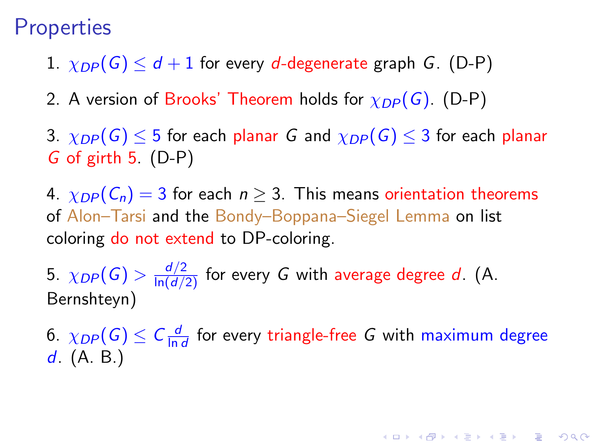- 1.  $\chi_{DP}(G) \leq d+1$  for every d-degenerate graph G. (D-P)
- 2. A version of Brooks' Theorem holds for  $\chi_{DP}(G)$ . (D-P)
- 3.  $\chi_{DP}(G) \leq 5$  for each planar G and  $\chi_{DP}(G) \leq 3$  for each planar G of girth 5. (D-P)

4.  $\chi_{DP}(\mathcal{C}_n) = 3$  for each  $n \geq 3$ . This means orientation theorems of Alon–Tarsi and the Bondy–Boppana–Siegel Lemma on list coloring do not extend to DP-coloring.

5.  $\chi_{DP}(G) > \frac{d/2}{\ln(d/2)}$  for every  $G$  with average degree  $d$ . (A. Bernshteyn)

6.  $\chi_{DP}(G) \leq C \frac{d}{\ln n}$  $\frac{d}{\ln d}$  for every triangle-free G with maximum degree  $d. (A. B.)$ 

KID KA KERKER E VOOR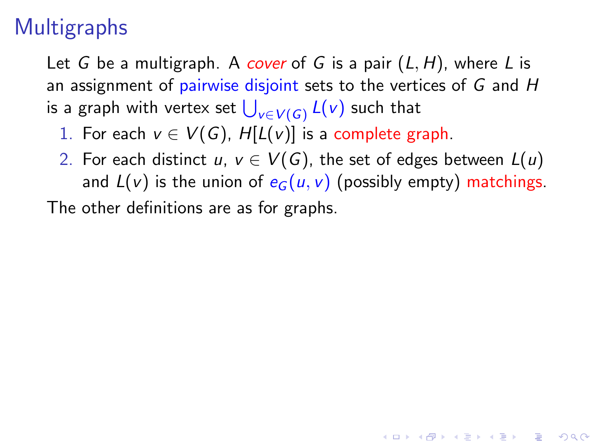# **Multigraphs**

Let G be a multigraph. A cover of G is a pair  $(L, H)$ , where L is an assignment of pairwise disjoint sets to the vertices of  $G$  and  $H$ is a graph with vertex set  $\bigcup_{v\in V(G)} L(v)$  such that

- 1. For each  $v \in V(G)$ ,  $H[L(v)]$  is a complete graph.
- 2. For each distinct u,  $v \in V(G)$ , the set of edges between  $L(u)$ and  $L(v)$  is the union of  $e_G(u, v)$  (possibly empty) matchings.

4 D > 4 P + 4 B + 4 B + B + 9 Q O

The other definitions are as for graphs.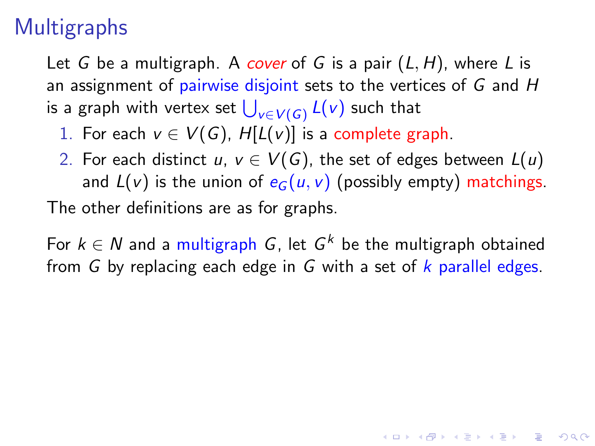## **Multigraphs**

Let G be a multigraph. A cover of G is a pair  $(L, H)$ , where L is an assignment of pairwise disjoint sets to the vertices of  $G$  and  $H$ is a graph with vertex set  $\bigcup_{v\in V(G)} L(v)$  such that

- 1. For each  $v \in V(G)$ ,  $H[L(v)]$  is a complete graph.
- 2. For each distinct u,  $v \in V(G)$ , the set of edges between  $L(u)$ and  $L(v)$  is the union of  $e_G(u, v)$  (possibly empty) matchings. The other definitions are as for graphs.

For  $k \in N$  and a multigraph G, let  $G^k$  be the multigraph obtained from G by replacing each edge in G with a set of  $k$  parallel edges.

**AD A 4 4 4 5 A 5 A 5 A 4 D A 4 D A 4 PM**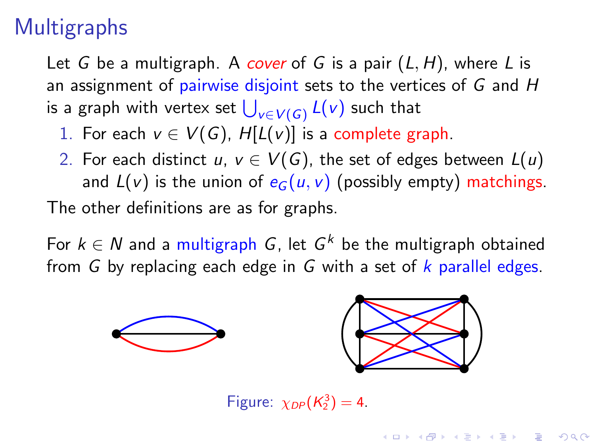# **Multigraphs**

Let G be a multigraph. A cover of G is a pair  $(L, H)$ , where L is an assignment of pairwise disjoint sets to the vertices of  $G$  and  $H$ is a graph with vertex set  $\bigcup_{v\in V(G)} L(v)$  such that

- 1. For each  $v \in V(G)$ ,  $H[L(v)]$  is a complete graph.
- 2. For each distinct u,  $v \in V(G)$ , the set of edges between  $L(u)$ and  $L(v)$  is the union of  $e_G(u, v)$  (possibly empty) matchings. The other definitions are as for graphs.

For  $k \in N$  and a multigraph G, let  $G^k$  be the multigraph obtained from G by replacing each edge in G with a set of  $k$  parallel edges.



Figure:  $\chi_{DP}(K_2^3) = 4$ .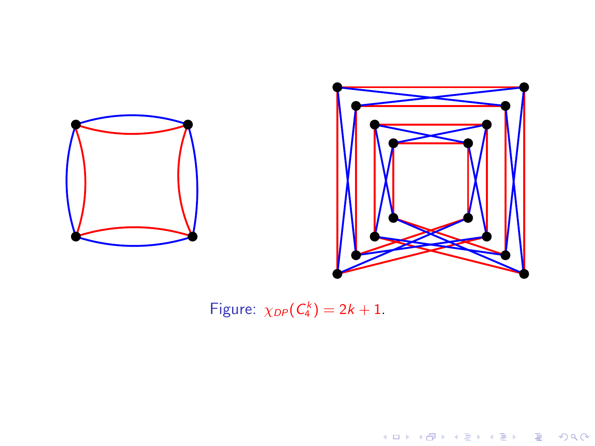

Figure:  $\chi_{DP}(C_4^k) = 2k + 1$ .

K ロ > K @ ▶ K 할 > K 할 > 1 할 | X 9 Q @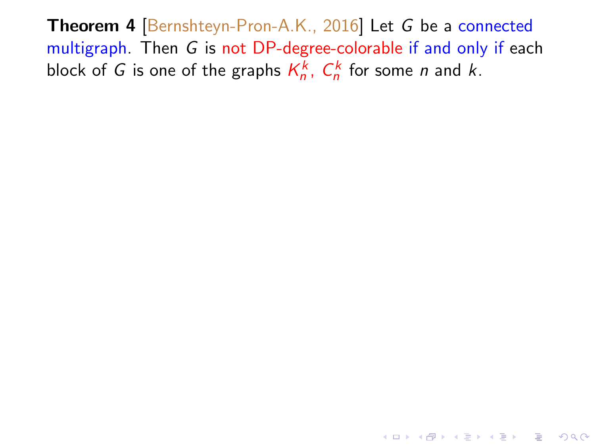Theorem 4 [Bernshteyn-Pron-A.K., 2016] Let G be a connected multigraph. Then G is not DP-degree-colorable if and only if each block of G is one of the graphs  $K_n^k$ ,  $C_n^k$  for some n and k.

**K ロ ▶ K @ ▶ K 할 X X 할 X 및 할 X X Q Q O**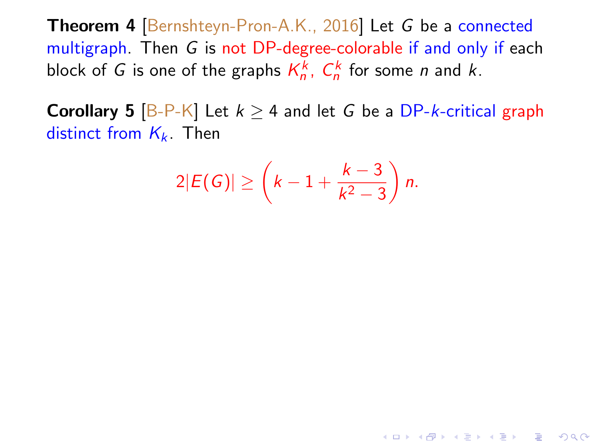Theorem 4 [Bernshteyn-Pron-A.K., 2016] Let G be a connected multigraph. Then G is not DP-degree-colorable if and only if each block of G is one of the graphs  $K_n^k$ ,  $C_n^k$  for some n and k.

**Corollary 5**  $[B-P-K]$  Let  $k \ge 4$  and let G be a DP-k-critical graph distinct from  $K_k$ . Then

$$
2|E(G)|\geq \left(k-1+\frac{k-3}{k^2-3}\right)n.
$$

**K ロ ▶ K @ ▶ K 할 X X 할 X 및 할 X X Q Q O**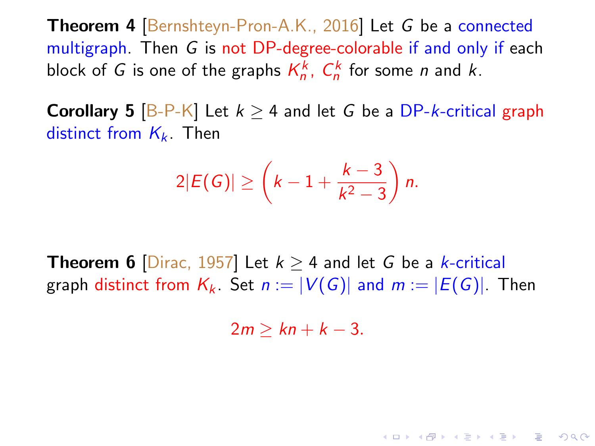Theorem 4 [Bernshteyn-Pron-A.K., 2016] Let G be a connected multigraph. Then G is not DP-degree-colorable if and only if each block of G is one of the graphs  $K_n^k$ ,  $C_n^k$  for some n and k.

**Corollary 5** [B-P-K] Let  $k > 4$  and let G be a DP-k-critical graph distinct from  $K_k$ . Then

$$
2|E(G)|\geq \left(k-1+\frac{k-3}{k^2-3}\right)n.
$$

**Theorem 6** [Dirac, 1957] Let  $k > 4$  and let G be a k-critical graph distinct from  $K_k$ . Set  $n := |V(G)|$  and  $m := |E(G)|$ . Then

 $2m > kn + k - 3$ .

**K ロ ▶ K @ ▶ K 할 X X 할 X 및 할 X X Q Q O**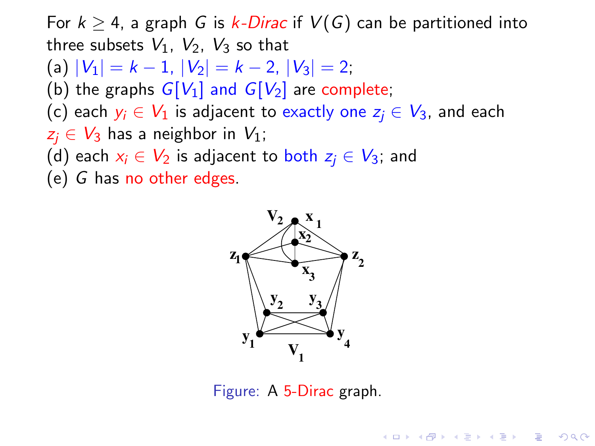For  $k \geq 4$ , a graph G is k-Dirac if  $V(G)$  can be partitioned into three subsets  $V_1$ ,  $V_2$ ,  $V_3$  so that (a)  $|V_1| = k - 1$ ,  $|V_2| = k - 2$ ,  $|V_3| = 2$ ; (b) the graphs  $G[V_1]$  and  $G[V_2]$  are complete; (c) each  $y_i \in V_1$  is adjacent to exactly one  $z_i \in V_3$ , and each  $z_i \in V_3$  has a neighbor in  $V_1$ ; (d) each  $x_i \in V_2$  is adjacent to both  $z_i \in V_3$ ; and (e) G has no other edges.



Figure: A 5-Dirac graph.

**KORK ERKER ADE YOUR**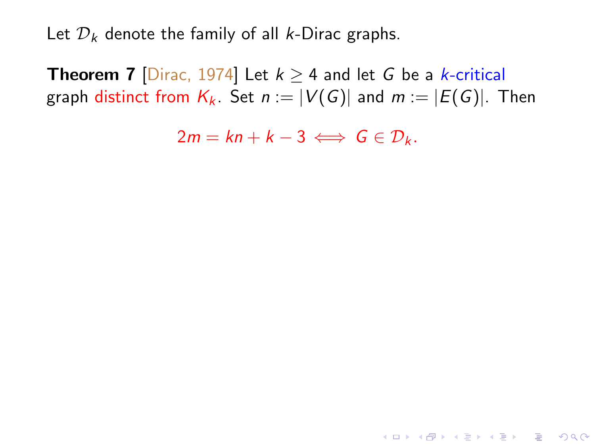Let  $\mathcal{D}_k$  denote the family of all k-Dirac graphs.

**Theorem 7** [Dirac, 1974] Let  $k \ge 4$  and let G be a *k*-critical graph distinct from  $K_k$ . Set  $n := |V(G)|$  and  $m := |E(G)|$ . Then

 $2m = kn + k - 3 \iff G \in \mathcal{D}_k$ .

4 D > 4 P + 4 B + 4 B + B + 9 Q O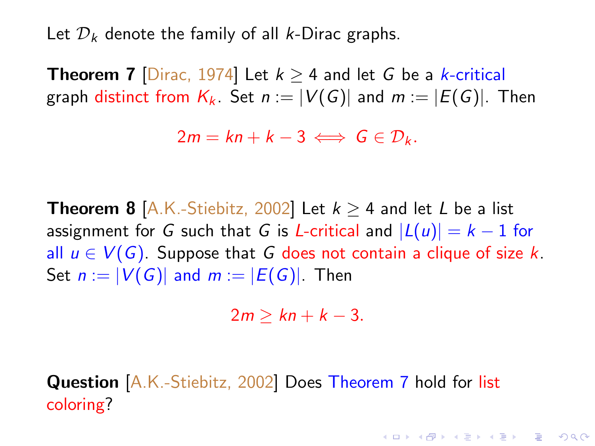Let  $\mathcal{D}_k$  denote the family of all k-Dirac graphs.

**Theorem 7** [Dirac, 1974] Let  $k \ge 4$  and let G be a *k*-critical graph distinct from  $K_k$ . Set  $n := |V(G)|$  and  $m := |E(G)|$ . Then

 $2m = kn + k - 3 \iff G \in \mathcal{D}_k$ .

**Theorem 8** [A.K.-Stiebitz, 2002] Let  $k \ge 4$  and let L be a list assignment for G such that G is L-critical and  $|L(u)| = k - 1$  for all  $u \in V(G)$ . Suppose that G does not contain a clique of size k. Set  $n := |V(G)|$  and  $m := |E(G)|$ . Then

 $2m > kn + k - 3$ .

4 D > 4 P + 4 B + 4 B + B + 9 Q O

Question [A.K.-Stiebitz, 2002] Does Theorem 7 hold for list coloring?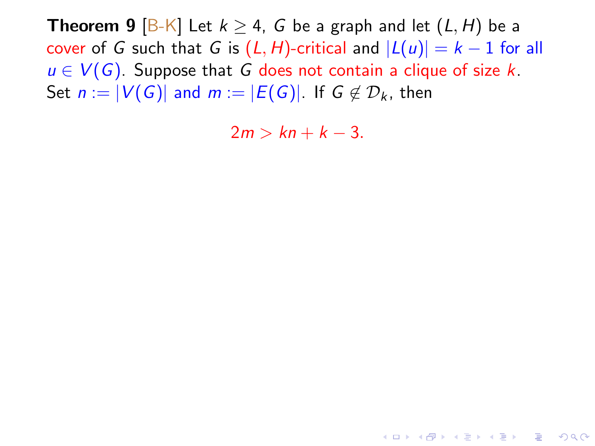**Theorem 9** [B-K] Let  $k \ge 4$ , G be a graph and let  $(L, H)$  be a cover of G such that G is  $(L, H)$ -critical and  $|L(u)| = k - 1$  for all  $u \in V(G)$ . Suppose that G does not contain a clique of size k. Set  $n := |V(G)|$  and  $m := |E(G)|$ . If  $G \notin \mathcal{D}_k$ , then

 $2m > kn + k - 3$ .

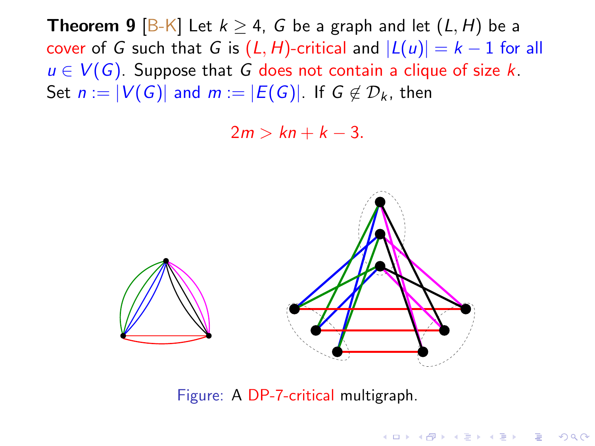**Theorem 9** [B-K] Let  $k \geq 4$ , G be a graph and let  $(L, H)$  be a cover of G such that G is  $(L, H)$ -critical and  $|L(u)| = k - 1$  for all  $u \in V(G)$ . Suppose that G does not contain a clique of size k. Set  $n := |V(G)|$  and  $m := |E(G)|$ . If  $G \notin \mathcal{D}_k$ , then

 $2m > kn + k - 3$ .



Figure: A DP-7-critical multigraph.

**KOD KARD KED KED E VOOR**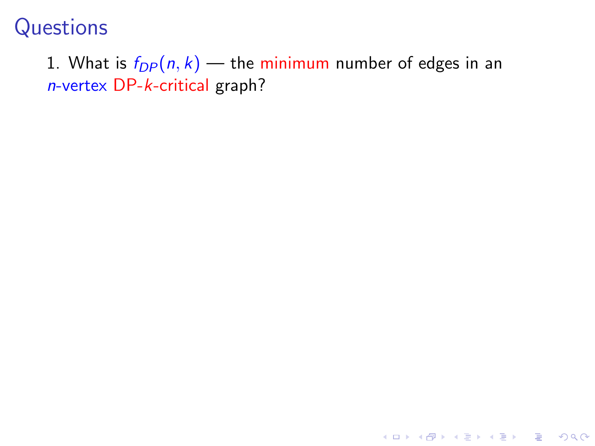#### 1. What is  $f_{DP}(n, k)$  — the minimum number of edges in an n-vertex DP-k-critical graph?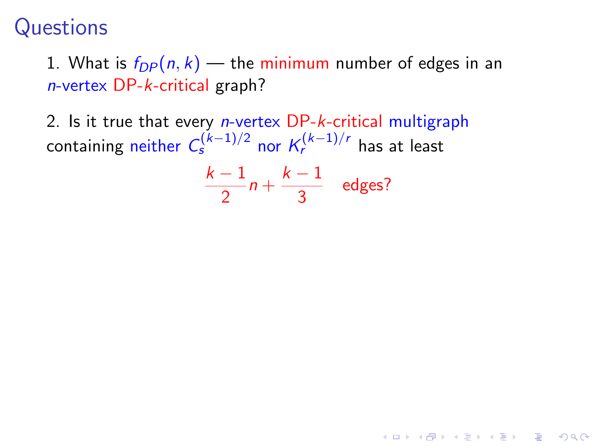1. What is  $f_{DP}(n, k)$  — the minimum number of edges in an n-vertex DP-k-critical graph?

2. Is it true that every *n*-vertex DP-k-critical multigraph containing neither  $\mathcal{C}_{\mathcal{S}}^{(k-1)/2}$  nor  $\mathcal{K}_{\mathcal{F}}^{(k-1)/r}$  has at least

$$
\frac{k-1}{2}n+\frac{k-1}{3} \quad \text{edges?}
$$

4 D > 4 P + 4 B + 4 B + B + 9 Q O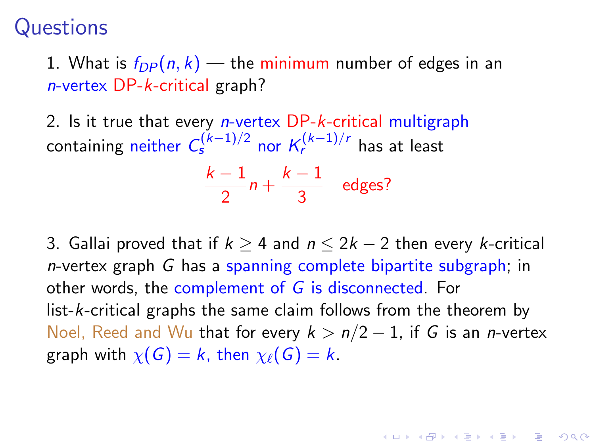1. What is  $f_{DP}(n, k)$  — the minimum number of edges in an n-vertex DP-k-critical graph?

2. Is it true that every *n*-vertex DP-k-critical multigraph containing neither  $\mathcal{C}_{\mathcal{S}}^{(k-1)/2}$  nor  $\mathcal{K}_{\mathcal{F}}^{(k-1)/r}$  has at least

$$
\frac{k-1}{2}n+\frac{k-1}{3} \quad \text{edges?}
$$

3. Gallai proved that if  $k \geq 4$  and  $n \leq 2k-2$  then every k-critical n-vertex graph G has a spanning complete bipartite subgraph; in other words, the complement of G is disconnected. For list-k-critical graphs the same claim follows from the theorem by Noel, Reed and Wu that for every  $k > n/2 - 1$ , if G is an *n*-vertex graph with  $\chi(G) = k$ , then  $\chi_{\ell}(G) = k$ .